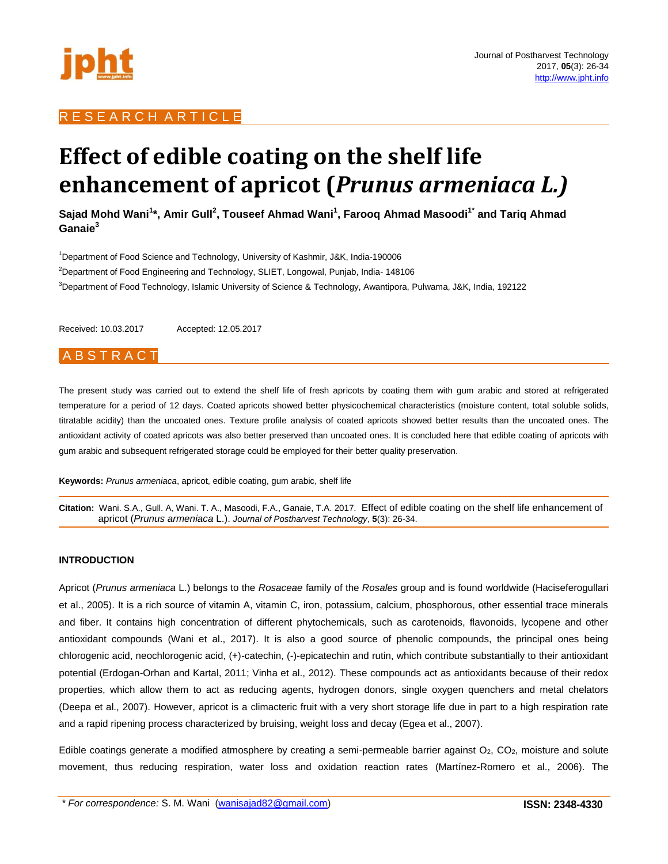

## RESEARCH ARTICLE

# **Effect of edible coating on the shelf life enhancement of apricot (***Prunus armeniaca L.)*

**Sajad Mohd Wani<sup>1</sup> \*, Amir Gull<sup>2</sup> , Touseef Ahmad Wani<sup>1</sup> , Farooq Ahmad Masoodi1\* and Tariq Ahmad Ganaie<sup>3</sup>**

<sup>1</sup>Department of Food Science and Technology, University of Kashmir, J&K, India-190006 <sup>2</sup>Department of Food Engineering and Technology, SLIET, Longowal, Punjab, India- 148106 <sup>3</sup>Department of Food Technology, Islamic University of Science & Technology, Awantipora, Pulwama, J&K, India, 192122

Received: 10.03.2017 Accepted: 12.05.2017

## A B S T R A C T

The present study was carried out to extend the shelf life of fresh apricots by coating them with gum arabic and stored at refrigerated temperature for a period of 12 days. Coated apricots showed better physicochemical characteristics (moisture content, total soluble solids, titratable acidity) than the uncoated ones. Texture profile analysis of coated apricots showed better results than the uncoated ones. The antioxidant activity of coated apricots was also better preserved than uncoated ones. It is concluded here that edible coating of apricots with gum arabic and subsequent refrigerated storage could be employed for their better quality preservation.

**Keywords:** *Prunus armeniaca*, apricot, edible coating, gum arabic, shelf life

**Citation:** Wani. S.A., Gull. A, Wani. T. A., Masoodi, F.A., Ganaie, T.A. 2017. Effect of edible coating on the shelf life enhancement of apricot (*Prunus armeniaca* L.). *Journal of Postharvest Technology*, **5**(3): 26-34.

## **INTRODUCTION**

Apricot (*Prunus armeniaca* L.) belongs to the *Rosaceae* family of the *Rosales* group and is found worldwide (Haciseferogullari et al., 2005). It is a rich source of vitamin A, vitamin C, iron, potassium, calcium, phosphorous, other essential trace minerals and fiber. It contains high concentration of different phytochemicals, such as carotenoids, flavonoids, lycopene and other antioxidant compounds (Wani et al., 2017). It is also a good source of phenolic compounds, the principal ones being chlorogenic acid, neochlorogenic acid, (+)-catechin, (-)-epicatechin and rutin, which contribute substantially to their antioxidant potential (Erdogan-Orhan and Kartal, 2011; Vinha et al., 2012). These compounds act as antioxidants because of their redox properties, which allow them to act as reducing agents, hydrogen donors, single oxygen quenchers and metal chelators (Deepa et al., 2007). However, apricot is a climacteric fruit with a very short storage life due in part to a high respiration rate and a rapid ripening process characterized by bruising, weight loss and decay (Egea et al., 2007).

Edible coatings generate a modified atmosphere by creating a semi-permeable barrier against  $O_2$ ,  $CO_2$ , moisture and solute movement, thus reducing respiration, water loss and oxidation reaction rates (Martínez-Romero et al., 2006). The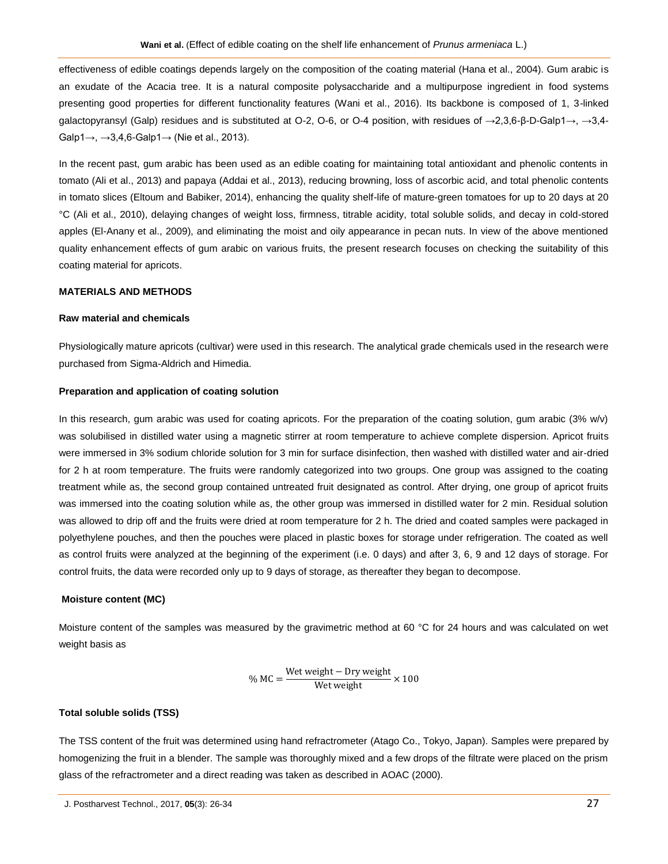effectiveness of edible coatings depends largely on the composition of the coating material (Hana et al., 2004). Gum arabic is an exudate of the Acacia tree. It is a natural composite polysaccharide and a multipurpose ingredient in food systems presenting good properties for different functionality features (Wani et al., 2016). Its backbone is composed of 1, 3-linked galactopyransyl (Galp) residues and is substituted at O-2, O-6, or O-4 position, with residues of →2,3,6-β-D-Galp1→, →3,4- Galp1→, →3,4,6-Galp1→ (Nie et al., 2013).

In the recent past, gum arabic has been used as an edible coating for maintaining total antioxidant and phenolic contents in tomato (Ali et al., 2013) and papaya (Addai et al., 2013), reducing browning, loss of ascorbic acid, and total phenolic contents in tomato slices (Eltoum and Babiker, 2014), enhancing the quality shelf-life of mature-green tomatoes for up to 20 days at 20 °C (Ali et al., 2010), delaying changes of weight loss, firmness, titrable acidity, total soluble solids, and decay in cold-stored apples (El-Anany et al., 2009), and eliminating the moist and oily appearance in pecan nuts. In view of the above mentioned quality enhancement effects of gum arabic on various fruits, the present research focuses on checking the suitability of this coating material for apricots.

## **MATERIALS AND METHODS**

#### **Raw material and chemicals**

Physiologically mature apricots (cultivar) were used in this research. The analytical grade chemicals used in the research were purchased from Sigma-Aldrich and Himedia.

#### **Preparation and application of coating solution**

In this research, gum arabic was used for coating apricots. For the preparation of the coating solution, gum arabic (3% w/v) was solubilised in distilled water using a magnetic stirrer at room temperature to achieve complete dispersion. Apricot fruits were immersed in 3% sodium chloride solution for 3 min for surface disinfection, then washed with distilled water and air-dried for 2 h at room temperature. The fruits were randomly categorized into two groups. One group was assigned to the coating treatment while as, the second group contained untreated fruit designated as control. After drying, one group of apricot fruits was immersed into the coating solution while as, the other group was immersed in distilled water for 2 min. Residual solution was allowed to drip off and the fruits were dried at room temperature for 2 h. The dried and coated samples were packaged in polyethylene pouches, and then the pouches were placed in plastic boxes for storage under refrigeration. The coated as well as control fruits were analyzed at the beginning of the experiment (i.e. 0 days) and after 3, 6, 9 and 12 days of storage. For control fruits, the data were recorded only up to 9 days of storage, as thereafter they began to decompose.

## **Moisture content (MC)**

Moisture content of the samples was measured by the gravimetric method at 60 °C for 24 hours and was calculated on wet weight basis as

$$
\% MC = \frac{\text{Wet weight} - \text{Dry weight}}{\text{Wet weight}} \times 100
$$

## **Total soluble solids (TSS)**

The TSS content of the fruit was determined using hand refractrometer (Atago Co., Tokyo, Japan). Samples were prepared by homogenizing the fruit in a blender. The sample was thoroughly mixed and a few drops of the filtrate were placed on the prism glass of the refractrometer and a direct reading was taken as described in AOAC (2000).

J. Postharvest Technol., 2017, **05**(3): 26-34 27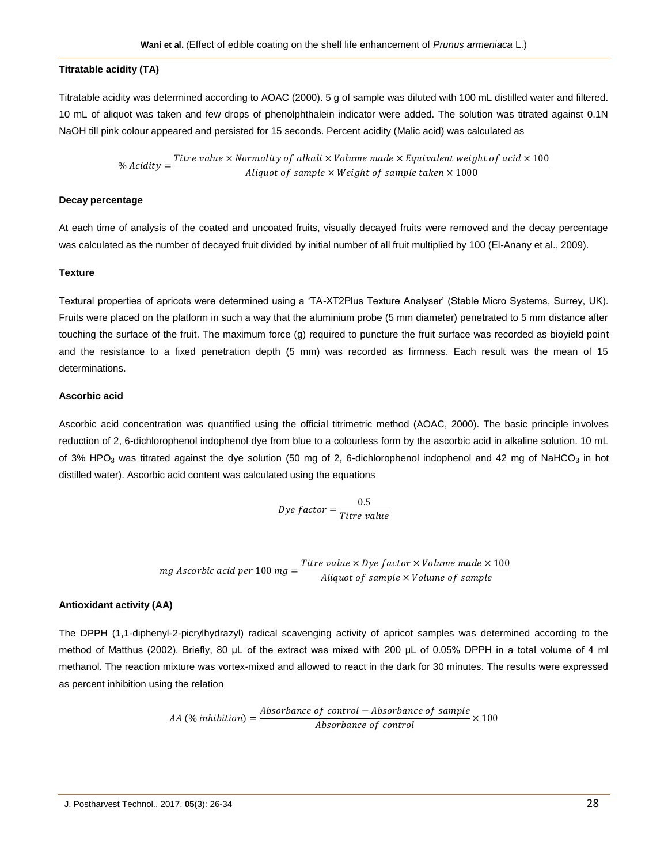## **Titratable acidity (TA)**

Titratable acidity was determined according to AOAC (2000). 5 g of sample was diluted with 100 mL distilled water and filtered. 10 mL of aliquot was taken and few drops of phenolphthalein indicator were added. The solution was titrated against 0.1N NaOH till pink colour appeared and persisted for 15 seconds. Percent acidity (Malic acid) was calculated as

> % Acidity  $=\frac{T}{\sqrt{2}}$  $\overline{A}$

## **Decay percentage**

At each time of analysis of the coated and uncoated fruits, visually decayed fruits were removed and the decay percentage was calculated as the number of decayed fruit divided by initial number of all fruit multiplied by 100 (El-Anany et al., 2009).

## **Texture**

Textural properties of apricots were determined using a 'TA-XT2Plus Texture Analyser' (Stable Micro Systems, Surrey, UK). Fruits were placed on the platform in such a way that the aluminium probe (5 mm diameter) penetrated to 5 mm distance after touching the surface of the fruit. The maximum force (g) required to puncture the fruit surface was recorded as bioyield point and the resistance to a fixed penetration depth (5 mm) was recorded as firmness. Each result was the mean of 15 determinations.

## **Ascorbic acid**

Ascorbic acid concentration was quantified using the official titrimetric method (AOAC, 2000). The basic principle involves reduction of 2, 6-dichlorophenol indophenol dye from blue to a colourless form by the ascorbic acid in alkaline solution. 10 mL of 3% HPO<sub>3</sub> was titrated against the dye solution (50 mg of 2, 6-dichlorophenol indophenol and 42 mg of NaHCO<sub>3</sub> in hot distilled water). Ascorbic acid content was calculated using the equations

$$
Dye\ factor = \frac{0.5}{Titre\ value}
$$

mg Ascorbic acid per 100 mg =  $\frac{T}{\tau}$  $\overline{A}$ 

## **Antioxidant activity (AA)**

The DPPH (1,1-diphenyl-2-picrylhydrazyl) radical scavenging activity of apricot samples was determined according to the method of Matthus (2002). Briefly, 80 μL of the extract was mixed with 200 μL of 0.05% DPPH in a total volume of 4 ml methanol. The reaction mixture was vortex-mixed and allowed to react in the dark for 30 minutes. The results were expressed as percent inhibition using the relation

$$
AA \text{ } (\% \text{ inhibition}) = \frac{Absorbance \text{ } of \text{ } control - Absorbance \text{ } of \text{ } sample}{Absorbance \text{ } of \text{ } control} \times 100
$$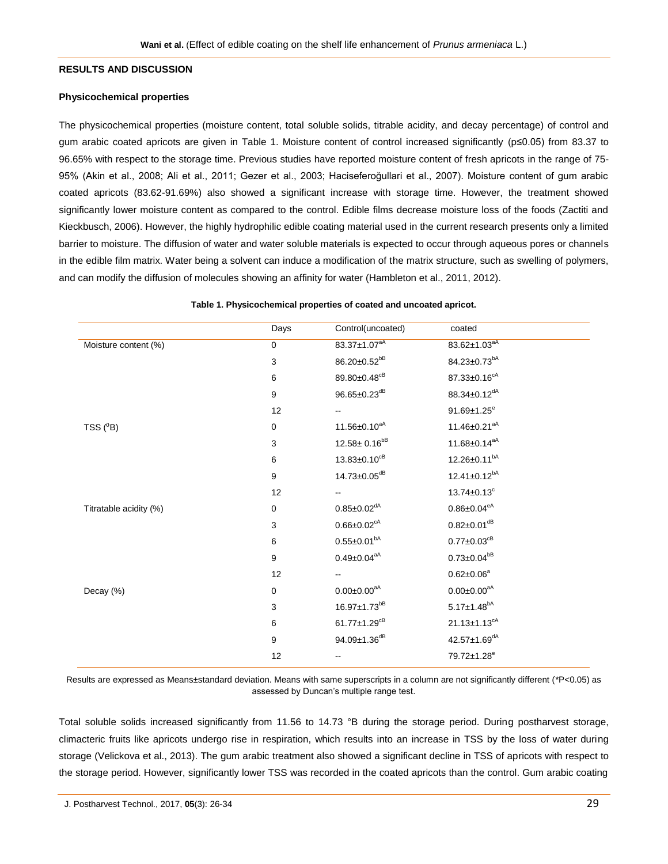#### **RESULTS AND DISCUSSION**

#### **Physicochemical properties**

The physicochemical properties (moisture content, total soluble solids, titrable acidity, and decay percentage) of control and gum arabic coated apricots are given in Table 1. Moisture content of control increased significantly (p≤0.05) from 83.37 to 96.65% with respect to the storage time. Previous studies have reported moisture content of fresh apricots in the range of 75- 95% (Akin et al., 2008; Ali et al., 2011; Gezer et al., 2003; Haciseferoğullari et al., 2007). Moisture content of gum arabic coated apricots (83.62-91.69%) also showed a significant increase with storage time. However, the treatment showed significantly lower moisture content as compared to the control. Edible films decrease moisture loss of the foods (Zactiti and Kieckbusch, 2006). However, the highly hydrophilic edible coating material used in the current research presents only a limited barrier to moisture. The diffusion of water and water soluble materials is expected to occur through aqueous pores or channels in the edible film matrix. Water being a solvent can induce a modification of the matrix structure, such as swelling of polymers, and can modify the diffusion of molecules showing an affinity for water (Hambleton et al., 2011, 2012).

|                        | Days        | Control(uncoated)              | coated                        |
|------------------------|-------------|--------------------------------|-------------------------------|
| Moisture content (%)   | $\mathbf 0$ | $83.37 \pm 1.07^{aA}$          | 83.62±1.03 <sup>aA</sup>      |
|                        | $\mathsf 3$ | 86.20±0.52 <sup>bB</sup>       | 84.23±0.73 <sup>bA</sup>      |
|                        | 6           | 89.80±0.48 <sup>cB</sup>       | $87.33 \pm 0.16^{cA}$         |
|                        | 9           | $96.65 \pm 0.23$ <sup>dB</sup> | 88.34±0.12 <sup>dA</sup>      |
|                        | 12          | $\overline{\phantom{a}}$       | $91.69 \pm 1.25^e$            |
| TSS $(^0B)$            | $\mathbf 0$ | 11.56 $\pm$ 0.10 <sup>aA</sup> | $11.46 \pm 0.21^{aA}$         |
|                        | 3           | $12.58 \pm 0.16^{bB}$          | $11.68 \pm 0.14^{aA}$         |
|                        | 6           | $13.83 \pm 0.10^{cB}$          | $12.26 \pm 0.11^{bA}$         |
|                        | 9           | $14.73 \pm 0.05$ <sup>dB</sup> | $12.41 \pm 0.12^{bA}$         |
|                        | 12          |                                | $13.74 \pm 0.13$ <sup>c</sup> |
| Titratable acidity (%) | $\mathbf 0$ | $0.85 \pm 0.02$ <sup>dA</sup>  | $0.86 \pm 0.04^{\text{eA}}$   |
|                        | 3           | $0.66 \pm 0.02$ <sup>cA</sup>  | $0.82 \pm 0.01$ <sup>dB</sup> |
|                        | $\,6\,$     | $0.55 \pm 0.01^{bA}$           | $0.77 \pm 0.03$ <sup>cB</sup> |
|                        | 9           | $0.49 \pm 0.04^{aA}$           | $0.73 \pm 0.04^{bB}$          |
|                        | 12          | $\overline{\phantom{a}}$       | $0.62 \pm 0.06^a$             |
| Decay (%)              | $\mathbf 0$ | $0.00 \pm 0.00^{aA}$           | $0.00 \pm 0.00^{aA}$          |
|                        | 3           | 16.97±1.73 <sup>bB</sup>       | $5.17 \pm 1.48^{bA}$          |
|                        | 6           | $61.77 \pm 1.29^{cB}$          | $21.13 \pm 1.13^{cA}$         |
|                        | 9           | 94.09±1.36 <sup>dB</sup>       | 42.57±1.69 <sup>dA</sup>      |
|                        | 12          | $\overline{\phantom{a}}$       | 79.72±1.28 <sup>e</sup>       |

#### **Table 1. Physicochemical properties of coated and uncoated apricot.**

Results are expressed as Means±standard deviation. Means with same superscripts in a column are not significantly different (\*P<0.05) as assessed by Duncan's multiple range test.

Total soluble solids increased significantly from 11.56 to 14.73 °B during the storage period. During postharvest storage, climacteric fruits like apricots undergo rise in respiration, which results into an increase in TSS by the loss of water during storage (Velickova et al., 2013). The gum arabic treatment also showed a significant decline in TSS of apricots with respect to the storage period. However, significantly lower TSS was recorded in the coated apricots than the control. Gum arabic coating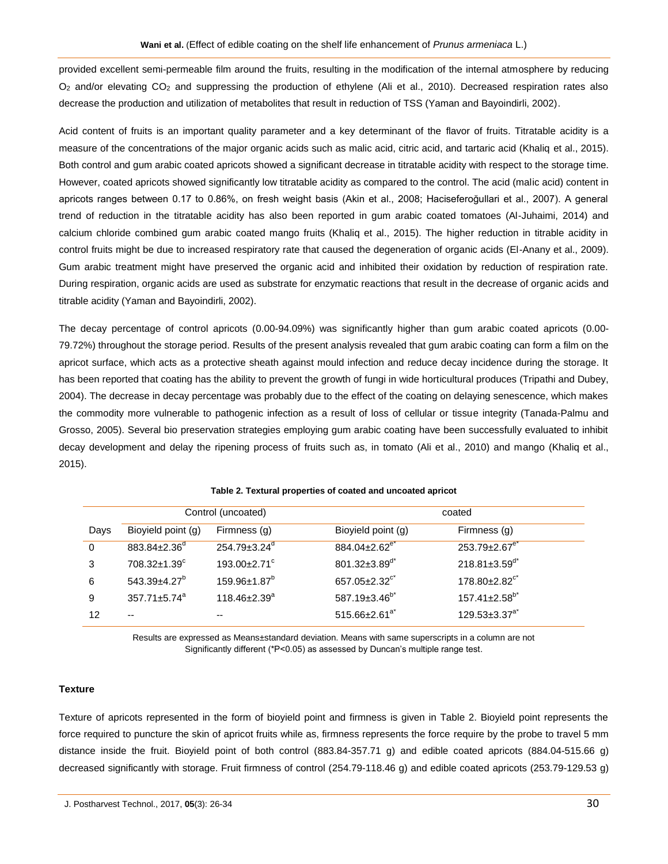provided excellent semi-permeable film around the fruits, resulting in the modification of the internal atmosphere by reducing O<sup>2</sup> and/or elevating CO<sup>2</sup> and suppressing the production of ethylene (Ali et al., 2010). Decreased respiration rates also decrease the production and utilization of metabolites that result in reduction of TSS (Yaman and Bayoindirli, 2002).

Acid content of fruits is an important quality parameter and a key determinant of the flavor of fruits. Titratable acidity is a measure of the concentrations of the major organic acids such as malic acid, citric acid, and tartaric acid (Khaliq et al., 2015). Both control and gum arabic coated apricots showed a significant decrease in titratable acidity with respect to the storage time. However, coated apricots showed significantly low titratable acidity as compared to the control. The acid (malic acid) content in apricots ranges between 0.17 to 0.86%, on fresh weight basis (Akin et al., 2008; Haciseferoğullari et al., 2007). A general trend of reduction in the titratable acidity has also been reported in gum arabic coated tomatoes (Al-Juhaimi, 2014) and calcium chloride combined gum arabic coated mango fruits (Khaliq et al., 2015). The higher reduction in titrable acidity in control fruits might be due to increased respiratory rate that caused the degeneration of organic acids (El-Anany et al., 2009). Gum arabic treatment might have preserved the organic acid and inhibited their oxidation by reduction of respiration rate. During respiration, organic acids are used as substrate for enzymatic reactions that result in the decrease of organic acids and titrable acidity (Yaman and Bayoindirli, 2002).

The decay percentage of control apricots (0.00-94.09%) was significantly higher than gum arabic coated apricots (0.00- 79.72%) throughout the storage period. Results of the present analysis revealed that gum arabic coating can form a film on the apricot surface, which acts as a protective sheath against mould infection and reduce decay incidence during the storage. It has been reported that coating has the ability to prevent the growth of fungi in wide horticultural produces (Tripathi and Dubey, 2004). The decrease in decay percentage was probably due to the effect of the coating on delaying senescence, which makes the commodity more vulnerable to pathogenic infection as a result of loss of cellular or tissue integrity (Tanada-Palmu and Grosso, 2005). Several bio preservation strategies employing gum arabic coating have been successfully evaluated to inhibit decay development and delay the ripening process of fruits such as, in tomato (Ali et al., 2010) and mango (Khaliq et al., 2015).

|          | Control (uncoated)             |                                | coated                          |                                 |
|----------|--------------------------------|--------------------------------|---------------------------------|---------------------------------|
| Days     | Bioyield point (g)             | Firmness (g)                   | Bioyield point (g)              | Firmness (g)                    |
| $\Omega$ | $883.84 \pm 2.36$ <sup>d</sup> | $254.79 \pm 3.24$ <sup>d</sup> | $884.04 \pm 2.62$ <sup>e*</sup> | $253.79 \pm 2.67$ <sup>e*</sup> |
| 3        | 708.32±1.39°                   | $193.00 \pm 2.71$ °            | 801.32 $\pm$ 3.89 <sup>d*</sup> | $218.81 \pm 3.59$ <sup>d*</sup> |
| 6        | $543.39 \pm 4.27$ <sup>b</sup> | $159.96 \pm 1.87^{\circ}$      | 657.05 $\pm$ 2.32 $\text{°}$    | $178.80 \pm 2.82$ <sup>c*</sup> |
| 9        | $357.71 \pm 5.74$ <sup>a</sup> | $118.46 \pm 2.39$ <sup>a</sup> | 587.19 $\pm$ 3.46 <sup>b*</sup> | $157.41 \pm 2.58^{b*}$          |
| 12       | $-$                            | --                             | $515.66 \pm 2.61$ <sup>a*</sup> | $129.53 \pm 3.37^{a*}$          |

**Table 2. Textural properties of coated and uncoated apricot**

Results are expressed as Means±standard deviation. Means with same superscripts in a column are not Significantly different (\*P<0.05) as assessed by Duncan's multiple range test.

## **Texture**

Texture of apricots represented in the form of bioyield point and firmness is given in Table 2. Bioyield point represents the force required to puncture the skin of apricot fruits while as, firmness represents the force require by the probe to travel 5 mm distance inside the fruit. Bioyield point of both control (883.84-357.71 g) and edible coated apricots (884.04-515.66 g) decreased significantly with storage. Fruit firmness of control (254.79-118.46 g) and edible coated apricots (253.79-129.53 g)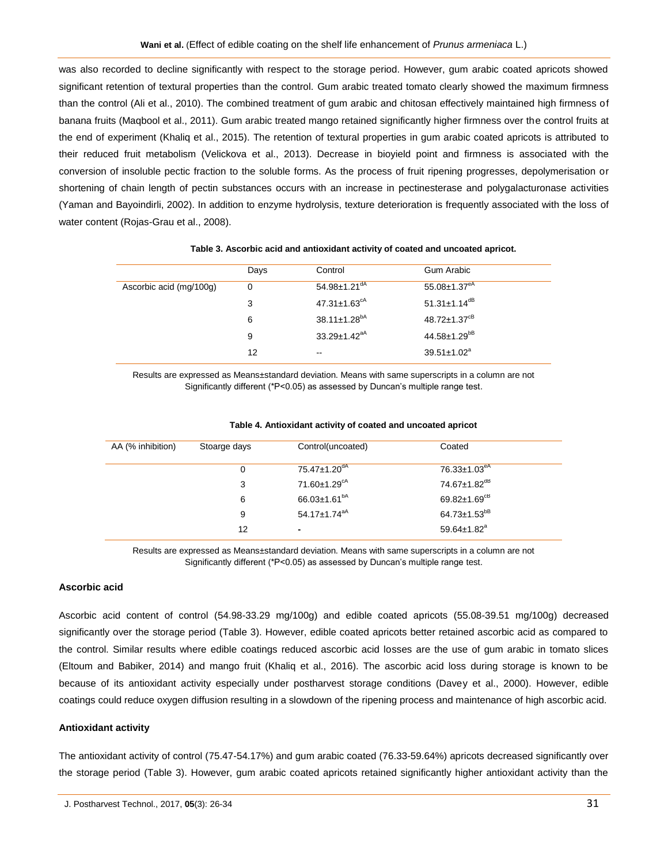was also recorded to decline significantly with respect to the storage period. However, gum arabic coated apricots showed significant retention of textural properties than the control. Gum arabic treated tomato clearly showed the maximum firmness than the control (Ali et al., 2010). The combined treatment of gum arabic and chitosan effectively maintained high firmness of banana fruits (Maqbool et al., 2011). Gum arabic treated mango retained significantly higher firmness over the control fruits at the end of experiment (Khaliq et al., 2015). The retention of textural properties in gum arabic coated apricots is attributed to their reduced fruit metabolism (Velickova et al., 2013). Decrease in bioyield point and firmness is associated with the conversion of insoluble pectic fraction to the soluble forms. As the process of fruit ripening progresses, depolymerisation or shortening of chain length of pectin substances occurs with an increase in pectinesterase and polygalacturonase activities (Yaman and Bayoindirli, 2002). In addition to enzyme hydrolysis, texture deterioration is frequently associated with the loss of water content (Rojas-Grau et al., 2008).

|                         | Days | Control                        | Gum Arabic                     |
|-------------------------|------|--------------------------------|--------------------------------|
| Ascorbic acid (mg/100g) | 0    | $54.98 \pm 1.21$ <sup>dA</sup> | $55.08 \pm 1.37^{eA}$          |
|                         | 3    | $47.31 \pm 1.63$ <sup>cA</sup> | $51.31 \pm 1.14$ <sup>dB</sup> |
|                         | 6    | $38.11 \pm 1.28^{bA}$          | $48.72 \pm 1.37$ <sup>cB</sup> |
|                         | 9    | $33.29 \pm 1.42$ <sup>aA</sup> | $44.58 \pm 1.29^{bB}$          |
|                         | 12   | $\overline{\phantom{m}}$       | $39.51 \pm 1.02^a$             |

Results are expressed as Means±standard deviation. Means with same superscripts in a column are not Significantly different (\*P<0.05) as assessed by Duncan's multiple range test.

| AA (% inhibition) | Stoarge days | Control(uncoated)              | Coated                         |  |
|-------------------|--------------|--------------------------------|--------------------------------|--|
|                   | 0            | $75.47 \pm 1.20$ <sup>dA</sup> | $76.33{\pm}1.03^{\text{eA}}$   |  |
|                   | 3            | $71.60 \pm 1.29$ <sup>CA</sup> | 74.67±1.82 <sup>dB</sup>       |  |
|                   | 6            | $66.03 \pm 1.61^{bA}$          | $69.82 \pm 1.69$ <sup>cB</sup> |  |
|                   | 9            | $54.17 \pm 1.74$ <sup>aA</sup> | $64.73 \pm 1.53^{bB}$          |  |
|                   | 12           | $\blacksquare$                 | $59.64 \pm 1.82$ <sup>a</sup>  |  |

#### **Table 4. Antioxidant activity of coated and uncoated apricot**

Results are expressed as Means±standard deviation. Means with same superscripts in a column are not Significantly different (\*P<0.05) as assessed by Duncan's multiple range test.

## **Ascorbic acid**

Ascorbic acid content of control (54.98-33.29 mg/100g) and edible coated apricots (55.08-39.51 mg/100g) decreased significantly over the storage period (Table 3). However, edible coated apricots better retained ascorbic acid as compared to the control. Similar results where edible coatings reduced ascorbic acid losses are the use of gum arabic in tomato slices (Eltoum and Babiker, 2014) and mango fruit (Khaliq et al., 2016). The ascorbic acid loss during storage is known to be because of its antioxidant activity especially under postharvest storage conditions (Davey et al., 2000). However, edible coatings could reduce oxygen diffusion resulting in a slowdown of the ripening process and maintenance of high ascorbic acid.

#### **Antioxidant activity**

The antioxidant activity of control (75.47-54.17%) and gum arabic coated (76.33-59.64%) apricots decreased significantly over the storage period (Table 3). However, gum arabic coated apricots retained significantly higher antioxidant activity than the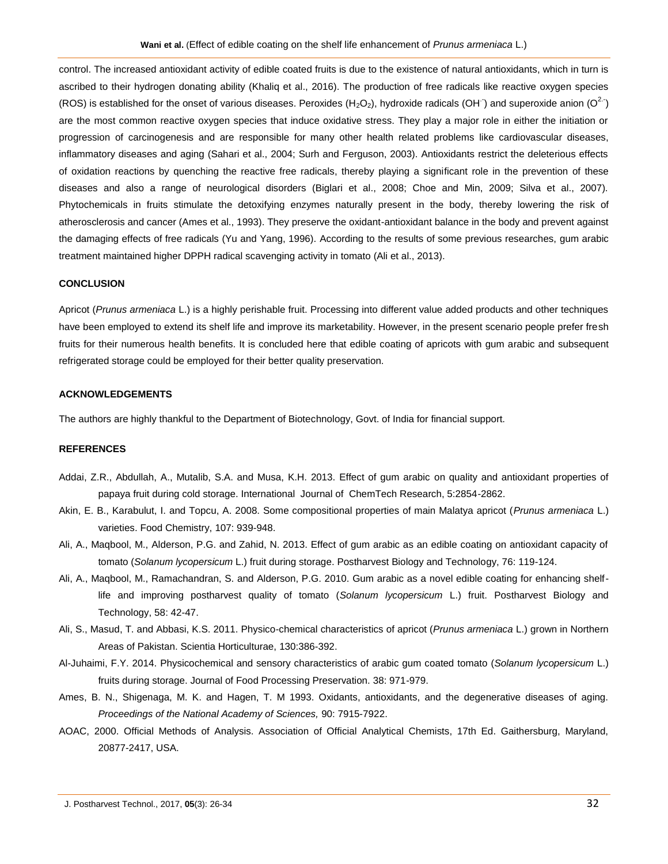control. The increased antioxidant activity of edible coated fruits is due to the existence of natural antioxidants, which in turn is ascribed to their hydrogen donating ability (Khaliq et al., 2016). The production of free radicals like reactive oxygen species (ROS) is established for the onset of various diseases. Peroxides (H<sub>2</sub>O<sub>2</sub>), hydroxide radicals (OH<sup>-</sup>) and superoxide anion (O<sup>2.-</sup>) are the most common reactive oxygen species that induce oxidative stress. They play a major role in either the initiation or progression of carcinogenesis and are responsible for many other health related problems like cardiovascular diseases, inflammatory diseases and aging (Sahari et al., 2004; Surh and Ferguson, 2003). Antioxidants restrict the deleterious effects of oxidation reactions by quenching the reactive free radicals, thereby playing a significant role in the prevention of these diseases and also a range of neurological disorders (Biglari et al., 2008; Choe and Min, 2009; Silva et al., 2007). Phytochemicals in fruits stimulate the detoxifying enzymes naturally present in the body, thereby lowering the risk of atherosclerosis and cancer (Ames et al., 1993). They preserve the oxidant-antioxidant balance in the body and prevent against the damaging effects of free radicals (Yu and Yang, 1996). According to the results of some previous researches, gum arabic treatment maintained higher DPPH radical scavenging activity in tomato (Ali et al., 2013).

## **CONCLUSION**

Apricot (*Prunus armeniaca* L.) is a highly perishable fruit. Processing into different value added products and other techniques have been employed to extend its shelf life and improve its marketability. However, in the present scenario people prefer fresh fruits for their numerous health benefits. It is concluded here that edible coating of apricots with gum arabic and subsequent refrigerated storage could be employed for their better quality preservation.

## **ACKNOWLEDGEMENTS**

The authors are highly thankful to the Department of Biotechnology, Govt. of India for financial support.

## **REFERENCES**

- Addai, Z.R., Abdullah, A., Mutalib, S.A. and Musa, K.H. 2013. Effect of gum arabic on quality and antioxidant properties of papaya fruit during cold storage. International Journal of ChemTech Research, 5:2854-2862.
- Akin, E. B., Karabulut, I. and Topcu, A. 2008. Some compositional properties of main Malatya apricot (*Prunus armeniaca* L.) varieties. Food Chemistry, 107: 939-948.
- Ali, A., Maqbool, M., Alderson, P.G. and Zahid, N. 2013. Effect of gum arabic as an edible coating on antioxidant capacity of tomato (*Solanum lycopersicum* L.) fruit during storage. Postharvest Biology and Technology, 76: 119-124.
- Ali, A., Maqbool, M., Ramachandran, S. and Alderson, P.G. 2010. Gum arabic as a novel edible coating for enhancing shelflife and improving postharvest quality of tomato (*Solanum lycopersicum* L.) fruit. Postharvest Biology and Technology, 58: 42-47.
- Ali, S., Masud, T. and Abbasi, K.S. 2011. Physico-chemical characteristics of apricot (*Prunus armeniaca* L.) grown in Northern Areas of Pakistan. Scientia Horticulturae, 130:386-392.
- Al-Juhaimi, F.Y. 2014. Physicochemical and sensory characteristics of arabic gum coated tomato (*Solanum lycopersicum* L.) fruits during storage. Journal of Food Processing Preservation. 38: 971-979.
- Ames, B. N., Shigenaga, M. K. and Hagen, T. M 1993. Oxidants, antioxidants, and the degenerative diseases of aging. *Proceedings of the National Academy of Sciences,* 90: 7915-7922.
- AOAC, 2000. Official Methods of Analysis. Association of Official Analytical Chemists, 17th Ed. Gaithersburg, Maryland, 20877-2417, USA.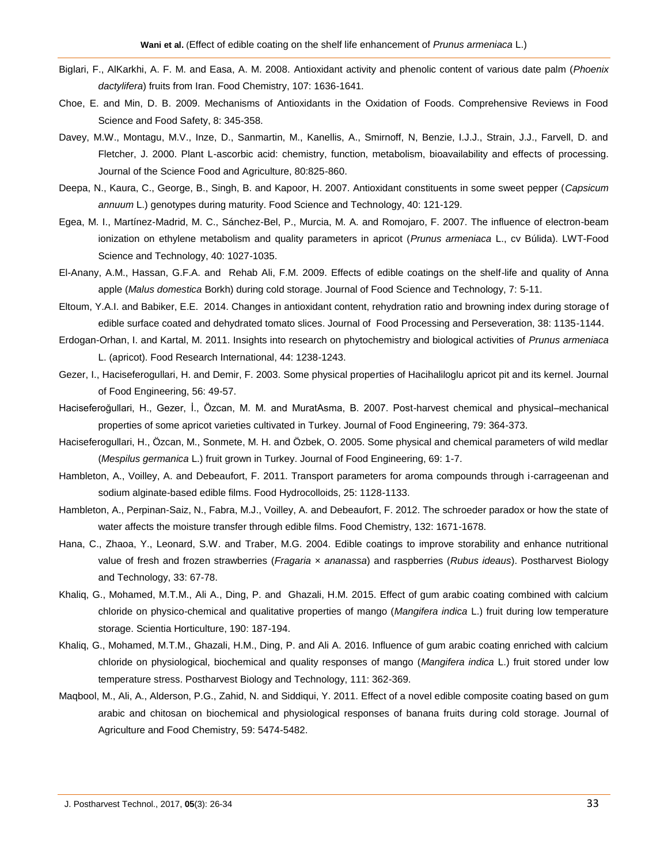- Biglari, F., AlKarkhi, A. F. M. and Easa, A. M. 2008. Antioxidant activity and phenolic content of various date palm (*Phoenix dactylifera*) fruits from Iran. Food Chemistry, 107: 1636-1641.
- Choe, E. and Min, D. B. 2009. Mechanisms of Antioxidants in the Oxidation of Foods. Comprehensive Reviews in Food Science and Food Safety, 8: 345-358.
- Davey, M.W., Montagu, M.V., Inze, D., Sanmartin, M., Kanellis, A., Smirnoff, N, Benzie, I.J.J., Strain, J.J., Farvell, D. and Fletcher, J. 2000. Plant L-ascorbic acid: chemistry, function, metabolism, bioavailability and effects of processing. Journal of the Science Food and Agriculture, 80:825-860.
- Deepa, N., Kaura, C., George, B., Singh, B. and Kapoor, H. 2007. Antioxidant constituents in some sweet pepper (*Capsicum annuum* L.) genotypes during maturity. Food Science and Technology, 40: 121-129.
- Egea, M. I., Martínez-Madrid, M. C., Sánchez-Bel, P., Murcia, M. A. and Romojaro, F. 2007. The influence of electron-beam ionization on ethylene metabolism and quality parameters in apricot (*Prunus armeniaca* L., cv Búlida). LWT-Food Science and Technology, 40: 1027-1035.
- El-Anany, A.M., Hassan, G.F.A. and Rehab Ali, F.M. 2009. Effects of edible coatings on the shelf-life and quality of Anna apple (*Malus domestica* Borkh) during cold storage. Journal of Food Science and Technology, 7: 5-11.
- Eltoum, Y.A.I. and Babiker, E.E. 2014. Changes in antioxidant content, rehydration ratio and browning index during storage of edible surface coated and dehydrated tomato slices. Journal of Food Processing and Perseveration, 38: 1135-1144.
- Erdogan-Orhan, I. and Kartal, M. 2011. Insights into research on phytochemistry and biological activities of *Prunus armeniaca* L. (apricot). Food Research International, 44: 1238-1243.
- Gezer, I., Haciseferogullari, H. and Demir, F. 2003. Some physical properties of Hacihaliloglu apricot pit and its kernel. Journal of Food Engineering, 56: 49-57.
- Haciseferoğullari, H., Gezer, İ., Özcan, M. M. and MuratAsma, B. 2007. Post-harvest chemical and physical–mechanical properties of some apricot varieties cultivated in Turkey. Journal of Food Engineering, 79: 364-373.
- Haciseferogullari, H., Özcan, M., Sonmete, M. H. and Özbek, O. 2005. Some physical and chemical parameters of wild medlar (*Mespilus germanica* L.) fruit grown in Turkey. Journal of Food Engineering, 69: 1-7.
- Hambleton, A., Voilley, A. and Debeaufort, F. 2011. Transport parameters for aroma compounds through i-carrageenan and sodium alginate-based edible films. Food Hydrocolloids, 25: 1128-1133.
- Hambleton, A., Perpinan-Saiz, N., Fabra, M.J., Voilley, A. and Debeaufort, F. 2012. The schroeder paradox or how the state of water affects the moisture transfer through edible films. Food Chemistry, 132: 1671-1678.
- Hana, C., Zhaoa, Y., Leonard, S.W. and Traber, M.G. 2004. Edible coatings to improve storability and enhance nutritional value of fresh and frozen strawberries (*Fragaria* × *ananassa*) and raspberries (*Rubus ideaus*). Postharvest Biology and Technology, 33: 67-78.
- Khaliq, G., Mohamed, M.T.M., Ali A., Ding, P. and Ghazali, H.M. 2015. Effect of gum arabic coating combined with calcium chloride on physico-chemical and qualitative properties of mango (*Mangifera indica* L.) fruit during low temperature storage. Scientia Horticulture, 190: 187-194.
- Khaliq, G., Mohamed, M.T.M., Ghazali, H.M., Ding, P. and Ali A. 2016. Influence of gum arabic coating enriched with calcium chloride on physiological, biochemical and quality responses of mango (*Mangifera indica* L.) fruit stored under low temperature stress. Postharvest Biology and Technology, 111: 362-369.
- Maqbool, M., Ali, A., Alderson, P.G., Zahid, N. and Siddiqui, Y. 2011. Effect of a novel edible composite coating based on gum arabic and chitosan on biochemical and physiological responses of banana fruits during cold storage. Journal of Agriculture and Food Chemistry, 59: 5474-5482.